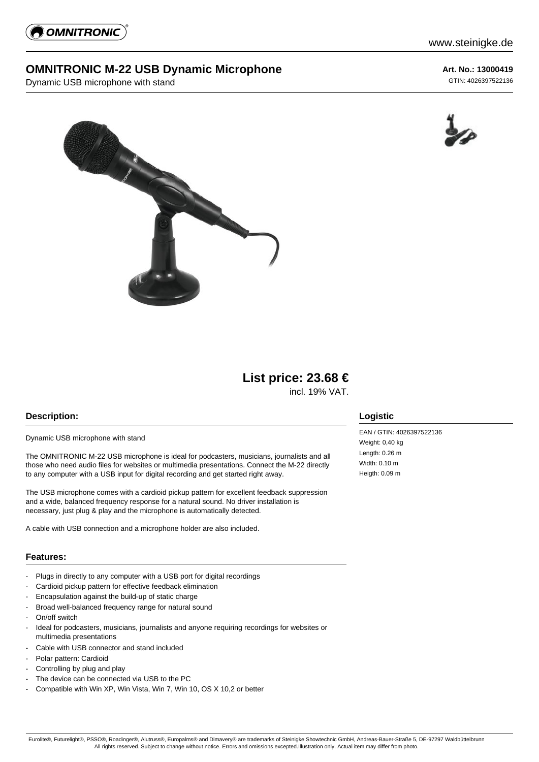

## **OMNITRONIC M-22 USB Dynamic Microphone**

Dynamic USB microphone with stand

**Art. No.: 13000419** GTIN: 4026397522136





# **List price: 23.68 €**

incl. 19% VAT.

## **Description:**

Dynamic USB microphone with stand

The OMNITRONIC M-22 USB microphone is ideal for podcasters, musicians, journalists and all those who need audio files for websites or multimedia presentations. Connect the M-22 directly to any computer with a USB input for digital recording and get started right away.

The USB microphone comes with a cardioid pickup pattern for excellent feedback suppression and a wide, balanced frequency response for a natural sound. No driver installation is necessary, just plug & play and the microphone is automatically detected.

A cable with USB connection and a microphone holder are also included.

#### **Features:**

- Plugs in directly to any computer with a USB port for digital recordings
- Cardioid pickup pattern for effective feedback elimination
- Encapsulation against the build-up of static charge
- Broad well-balanced frequency range for natural sound
- On/off switch
- Ideal for podcasters, musicians, journalists and anyone requiring recordings for websites or multimedia presentations
- Cable with USB connector and stand included
- Polar pattern: Cardioid
- Controlling by plug and play
- The device can be connected via USB to the PC
- Compatible with Win XP, Win Vista, Win 7, Win 10, OS X 10,2 or better

## **Logistic**

EAN / GTIN: 4026397522136 Weight: 0.40 kg Length: 0.26 m Width: 0.10 m Heigth: 0.09 m